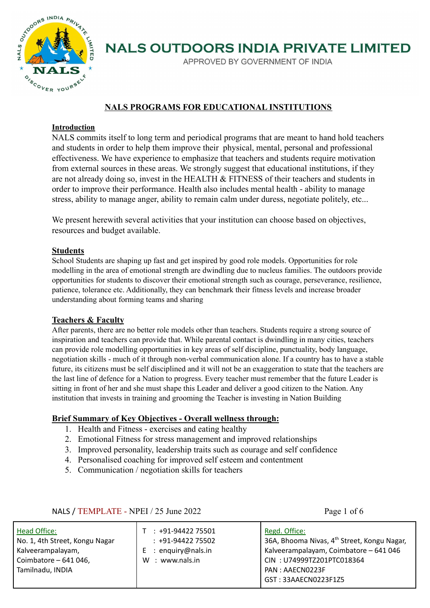

APPROVED BY GOVERNMENT OF INDIA

#### **NALS PROGRAMS FOR EDUCATIONAL INSTITUTIONS**

#### **Introduction**

NALS commits itself to long term and periodical programs that are meant to hand hold teachers and students in order to help them improve their physical, mental, personal and professional effectiveness. We have experience to emphasize that teachers and students require motivation from external sources in these areas. We strongly suggest that educational institutions, if they are not already doing so, invest in the HEALTH & FITNESS of their teachers and students in order to improve their performance. Health also includes mental health - ability to manage stress, ability to manage anger, ability to remain calm under duress, negotiate politely, etc...

We present herewith several activities that your institution can choose based on objectives, resources and budget available.

#### **Students**

School Students are shaping up fast and get inspired by good role models. Opportunities for role modelling in the area of emotional strength are dwindling due to nucleus families. The outdoors provide opportunities for students to discover their emotional strength such as courage, perseverance, resilience, patience, tolerance etc. Additionally, they can benchmark their fitness levels and increase broader understanding about forming teams and sharing

#### **Teachers & Faculty**

After parents, there are no better role models other than teachers. Students require a strong source of inspiration and teachers can provide that. While parental contact is dwindling in many cities, teachers can provide role modelling opportunities in key areas of self discipline, punctuality, body language, negotiation skills - much of it through non-verbal communication alone. If a country has to have a stable future, its citizens must be self disciplined and it will not be an exaggeration to state that the teachers are the last line of defence for a Nation to progress. Every teacher must remember that the future Leader is sitting in front of her and she must shape this Leader and deliver a good citizen to the Nation. Any institution that invests in training and grooming the Teacher is investing in Nation Building

#### **Brief Summary of Key Objectives - Overall wellness through:**

- 1. Health and Fitness exercises and eating healthy
- 2. Emotional Fitness for stress management and improved relationships
- 3. Improved personality, leadership traits such as courage and self confidence
- 4. Personalised coaching for improved self esteem and contentment
- 5. Communication / negotiation skills for teachers

| Head Office:<br>No. 1, 4th Street, Kongu Nagar<br>Kalveerampalayam,<br>Coimbatore - 641 046,<br>Tamilnadu, INDIA | +91-94422 75501<br>$: +91-9442275502$<br>$E$ : enquiry@nals.in<br>: www.nals.in<br>w | Regd. Office:<br>36A, Bhooma Nivas, 4 <sup>th</sup> Street, Kongu Nagar,<br>Kalveerampalayam, Coimbatore - 641 046<br>CIN: U74999TZ201PTC018364<br>PAN: AAECN0223F<br>GST: 33AAECN0223F1Z5 |
|------------------------------------------------------------------------------------------------------------------|--------------------------------------------------------------------------------------|--------------------------------------------------------------------------------------------------------------------------------------------------------------------------------------------|
|------------------------------------------------------------------------------------------------------------------|--------------------------------------------------------------------------------------|--------------------------------------------------------------------------------------------------------------------------------------------------------------------------------------------|

#### NALS / TEMPLATE - NPEI / 25 June 2022 Page 1 of 6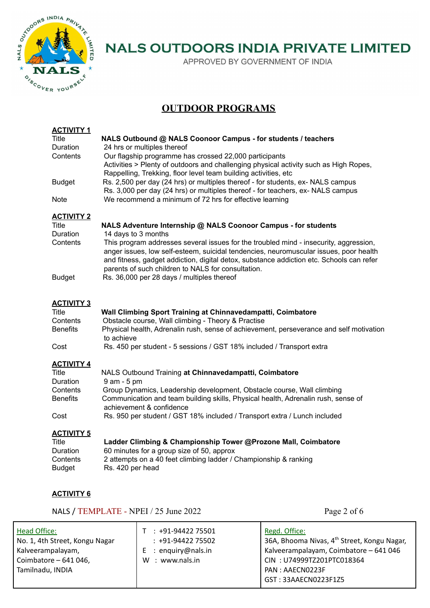

APPROVED BY GOVERNMENT OF INDIA

### **OUTDOOR PROGRAMS**

| <b>ACTIVITY 1</b>         |                                                                                          |
|---------------------------|------------------------------------------------------------------------------------------|
| Title                     | NALS Outbound @ NALS Coonoor Campus - for students / teachers                            |
| Duration                  | 24 hrs or multiples thereof                                                              |
| Contents                  | Our flagship programme has crossed 22,000 participants                                   |
|                           | Activities > Plenty of outdoors and challenging physical activity such as High Ropes,    |
|                           | Rappelling, Trekking, floor level team building activities, etc                          |
| <b>Budget</b>             | Rs. 2,500 per day (24 hrs) or multiples thereof - for students, ex- NALS campus          |
|                           | Rs. 3,000 per day (24 hrs) or multiples thereof - for teachers, ex- NALS campus          |
| <b>Note</b>               | We recommend a minimum of 72 hrs for effective learning                                  |
| <b>ACTIVITY 2</b>         |                                                                                          |
| Title                     | NALS Adventure Internship @ NALS Coonoor Campus - for students                           |
| Duration                  | 14 days to 3 months                                                                      |
| Contents                  | This program addresses several issues for the troubled mind - insecurity, aggression,    |
|                           | anger issues, low self-esteem, suicidal tendencies, neuromuscular issues, poor health    |
|                           | and fitness, gadget addiction, digital detox, substance addiction etc. Schools can refer |
|                           | parents of such children to NALS for consultation.                                       |
| <b>Budget</b>             | Rs. 36,000 per 28 days / multiples thereof                                               |
|                           |                                                                                          |
|                           |                                                                                          |
|                           |                                                                                          |
| <b>ACTIVITY 3</b>         |                                                                                          |
| <b>Title</b>              | Wall Climbing Sport Training at Chinnavedampatti, Coimbatore                             |
| Contents                  | Obstacle course, Wall climbing - Theory & Practise                                       |
| <b>Benefits</b>           | Physical health, Adrenalin rush, sense of achievement, perseverance and self motivation  |
|                           | to achieve                                                                               |
| Cost                      | Rs. 450 per student - 5 sessions / GST 18% included / Transport extra                    |
| <b>ACTIVITY 4</b>         |                                                                                          |
| Title                     | NALS Outbound Training at Chinnavedampatti, Coimbatore                                   |
| Duration                  | 9 am - 5 pm                                                                              |
| Contents                  | Group Dynamics, Leadership development, Obstacle course, Wall climbing                   |
| <b>Benefits</b>           | Communication and team building skills, Physical health, Adrenalin rush, sense of        |
|                           | achievement & confidence                                                                 |
| Cost                      | Rs. 950 per student / GST 18% included / Transport extra / Lunch included                |
|                           |                                                                                          |
| <b>ACTIVITY 5</b>         |                                                                                          |
| <b>Title</b>              | Ladder Climbing & Championship Tower @Prozone Mall, Coimbatore                           |
| Duration                  | 60 minutes for a group size of 50, approx                                                |
| Contents<br><b>Budget</b> | 2 attempts on a 40 feet climbing ladder / Championship & ranking<br>Rs. 420 per head     |

#### **ACTIVITY 6**

NALS / TEMPLATE - NPEI / 25 June 2022 Page 2 of 6

| Head Office:                                                   | +91-94422 75501                         | Regd. Office:                                                                                                  |
|----------------------------------------------------------------|-----------------------------------------|----------------------------------------------------------------------------------------------------------------|
| No. 1, 4th Street, Kongu Nagar                                 | $: +91-9442275502$                      | 36A, Bhooma Nivas, 4 <sup>th</sup> Street, Kongu Nagar,                                                        |
| Kalveerampalayam,<br>Coimbatore - 641 046,<br>Tamilnadu, INDIA | : enguiry@nals.in<br>: www.nals.in<br>W | Kalveerampalayam, Coimbatore - 641 046<br>CIN: U74999TZ201PTC018364<br>PAN: AAECN0223F<br>GST: 33AAECN0223F1Z5 |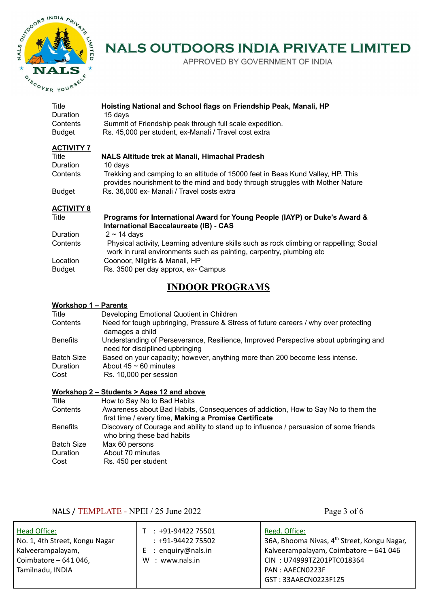

APPROVED BY GOVERNMENT OF INDIA

| Hoisting National and School flags on Friendship Peak, Manali, HP<br>15 days<br>Summit of Friendship peak through full scale expedition.<br>Rs. 45,000 per student, ex-Manali / Travel cost extra |
|---------------------------------------------------------------------------------------------------------------------------------------------------------------------------------------------------|
|                                                                                                                                                                                                   |
| NALS Altitude trek at Manali, Himachal Pradesh                                                                                                                                                    |
| 10 days                                                                                                                                                                                           |
| Trekking and camping to an altitude of 15000 feet in Beas Kund Valley, HP. This<br>provides nourishment to the mind and body through struggles with Mother Nature                                 |
| Rs. 36,000 ex- Manali / Travel costs extra                                                                                                                                                        |
| Desarrouse far International August far Vauge Deante (IAVD) on Duizela August 0                                                                                                                   |
|                                                                                                                                                                                                   |

| Title         | Programs for International Award for Young People (IAYP) or Duke's Award &<br>International Baccalaureate (IB) - CAS                                              |
|---------------|-------------------------------------------------------------------------------------------------------------------------------------------------------------------|
| Duration      | $2 \sim 14$ davs                                                                                                                                                  |
| Contents      | Physical activity, Learning adventure skills such as rock climbing or rappelling; Social<br>work in rural environments such as painting, carpentry, plumbing etc. |
| Location      | Coonoor, Nilgiris & Manali, HP                                                                                                                                    |
| <b>Budget</b> | Rs. 3500 per day approx, ex- Campus                                                                                                                               |

### **INDOOR PROGRAMS**

#### **Workshop 1 – Parents**

| Developing Emotional Quotient in Children                                                                               |
|-------------------------------------------------------------------------------------------------------------------------|
| Need for tough upbringing, Pressure & Stress of future careers / why over protecting<br>damages a child                 |
| Understanding of Perseverance, Resilience, Improved Perspective about upbringing and<br>need for disciplined upbringing |
| Based on your capacity; however, anything more than 200 become less intense.                                            |
| About $45 \sim 60$ minutes                                                                                              |
| Rs. 10,000 per session                                                                                                  |
|                                                                                                                         |

#### **Workshop 2 – Students > Ages 12 and above**

| Title             | How to Say No to Bad Habits                                                                                          |
|-------------------|----------------------------------------------------------------------------------------------------------------------|
| Contents          | Awareness about Bad Habits, Consequences of addiction, How to Say No to them the                                     |
|                   | first time / every time, Making a Promise Certificate                                                                |
| <b>Benefits</b>   | Discovery of Courage and ability to stand up to influence / persuasion of some friends<br>who bring these bad habits |
| <b>Batch Size</b> | Max 60 persons                                                                                                       |
| Duration          | About 70 minutes                                                                                                     |
| Cost              | Rs. 450 per student                                                                                                  |

### NALS / TEMPLATE - NPEI / 25 June 2022 Page 3 of 6

| Head Office:<br>No. 1, 4th Street, Kongu Nagar | $: +91-9442275501$<br>$: +91-9442275502$ | Regd. Office:<br>36A, Bhooma Nivas, 4 <sup>th</sup> Street, Kongu Nagar, |
|------------------------------------------------|------------------------------------------|--------------------------------------------------------------------------|
| Kalveerampalayam,<br>Coimbatore - 641 046,     | : enquiry@nals.in<br>: www.nals.in<br>W  | Kalveerampalayam, Coimbatore - 641 046<br>CIN: U74999TZ201PTC018364      |
| Tamilnadu, INDIA                               |                                          | PAN: AAECN0223F                                                          |
|                                                |                                          | GST: 33AAECN0223F1Z5                                                     |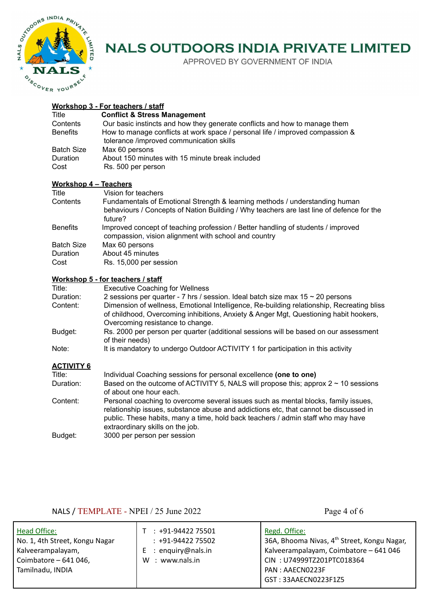

APPROVED BY GOVERNMENT OF INDIA

#### **Workshop 3 - For teachers / staff**

| Title            | <b>Conflict &amp; Stress Management</b>                                                                                   |
|------------------|---------------------------------------------------------------------------------------------------------------------------|
| Contents         | Our basic instincts and how they generate conflicts and how to manage them                                                |
| <b>Benefits</b>  | How to manage conflicts at work space / personal life / improved compassion &<br>tolerance /improved communication skills |
| Batch Size       | Max 60 persons                                                                                                            |
| Duration<br>Cost | About 150 minutes with 15 minute break included<br>Rs. 500 per person                                                     |

#### **Workshop 4 – Teachers**

| Title             | Vision for teachers                                                                                                                                                                |
|-------------------|------------------------------------------------------------------------------------------------------------------------------------------------------------------------------------|
| Contents          | Fundamentals of Emotional Strength & learning methods / understanding human<br>behaviours / Concepts of Nation Building / Why teachers are last line of defence for the<br>future? |
| <b>Benefits</b>   | Improved concept of teaching profession / Better handling of students / improved<br>compassion, vision alignment with school and country                                           |
| <b>Batch Size</b> | Max 60 persons                                                                                                                                                                     |
| Duration          | About 45 minutes                                                                                                                                                                   |
| Cost              | Rs. 15,000 per session                                                                                                                                                             |

#### **Workshop 5 - for teachers / staff**

| Title:            | <b>Executive Coaching for Wellness</b>                                                                                                                                                                                 |
|-------------------|------------------------------------------------------------------------------------------------------------------------------------------------------------------------------------------------------------------------|
| Duration:         | 2 sessions per quarter - 7 hrs / session. Ideal batch size max $15 \sim 20$ persons                                                                                                                                    |
| Content:          | Dimension of wellness, Emotional Intelligence, Re-building relationship, Recreating bliss<br>of childhood, Overcoming inhibitions, Anxiety & Anger Mgt, Questioning habit hookers,<br>Overcoming resistance to change. |
| Budget:           | Rs. 2000 per person per quarter (additional sessions will be based on our assessment<br>of their needs)                                                                                                                |
| Note:             | It is mandatory to undergo Outdoor ACTIVITY 1 for participation in this activity                                                                                                                                       |
| <u>ACTIVITY 6</u> |                                                                                                                                                                                                                        |
| Title:            | Individual Coaching sessions for personal excellence (one to one)                                                                                                                                                      |
| Duration:         | Based on the outcome of ACTIVITY 5, NALS will propose this; approx $2 \sim 10$ sessions                                                                                                                                |

of about one hour each. Content: Personal coaching to overcome several issues such as mental blocks, family issues, relationship issues, substance abuse and addictions etc, that cannot be discussed in public. These habits, many a time, hold back teachers / admin staff who may have extraordinary skills on the job. Budget: 3000 per person per session

#### NALS / TEMPLATE - NPEI / 25 June 2022 Page 4 of 6

| Head Office:                   | $: +91-9442275501$ | Regd. Office:                                           |
|--------------------------------|--------------------|---------------------------------------------------------|
| No. 1, 4th Street, Kongu Nagar | $: +91-9442275502$ | 36A, Bhooma Nivas, 4 <sup>th</sup> Street, Kongu Nagar, |
| Kalveerampalayam,              | : enquiry@nals.in  | Kalveerampalayam, Coimbatore - 641 046                  |
| Coimbatore $-641046$ ,         | : www.nals.in      | CIN: U74999TZ201PTC018364                               |
| Tamilnadu, INDIA               | W                  | PAN: AAECN0223F                                         |
|                                |                    | GST: 33AAECN0223F1Z5                                    |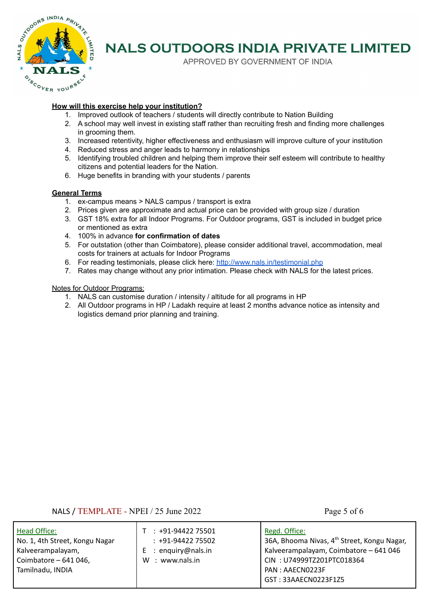

APPROVED BY GOVERNMENT OF INDIA

#### **How will this exercise help your institution?**

- 1. Improved outlook of teachers / students will directly contribute to Nation Building
- 2. A school may well invest in existing staff rather than recruiting fresh and finding more challenges in grooming them.
- 3. Increased retentivity, higher effectiveness and enthusiasm will improve culture of your institution
- 4. Reduced stress and anger leads to harmony in relationships
- 5. Identifying troubled children and helping them improve their self esteem will contribute to healthy citizens and potential leaders for the Nation.
- 6. Huge benefits in branding with your students / parents

#### **General Terms**

- 1. ex-campus means > NALS campus / transport is extra
- 2. Prices given are approximate and actual price can be provided with group size / duration
- 3. GST 18% extra for all Indoor Programs. For Outdoor programs, GST is included in budget price or mentioned as extra
- 4. 100% in advance **for confirmation of dates**
- 5. For outstation (other than Coimbatore), please consider additional travel, accommodation, meal costs for trainers at actuals for Indoor Programs
- 6. For reading testimonials, please click here: <http://www.nals.in/testimonial.php>
- 7. Rates may change without any prior intimation. Please check with NALS for the latest prices.

#### Notes for Outdoor Programs:

- 1. NALS can customise duration / intensity / altitude for all programs in HP
- 2. All Outdoor programs in HP / Ladakh require at least 2 months advance notice as intensity and logistics demand prior planning and training.

NALS / TEMPLATE - NPEI / 25 June 2022 Page 5 of 6

| Head Office:                               | $: +91-9442275501$ | Regd. Office:                                                        |
|--------------------------------------------|--------------------|----------------------------------------------------------------------|
| No. 1, 4th Street, Kongu Nagar             | $: +91-9442275502$ | 36A, Bhooma Nivas, 4 <sup>th</sup> Street, Kongu Nagar,              |
| Kalveerampalayam,                          | : enquiry@nals.in  | Kalveerampalayam, Coimbatore - 641 046                               |
| Coimbatore $-641046$ ,<br>Tamilnadu, INDIA | : www.nals.in<br>W | CIN: U74999TZ201PTC018364<br>PAN: AAECN0223F<br>GST: 33AAECN0223F1Z5 |